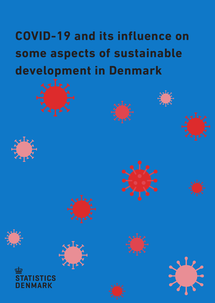# **COVID-19 and its influence on some aspects of sustainable development in Denmark**

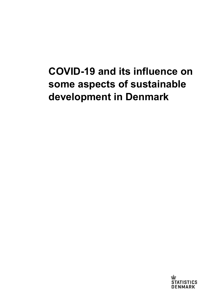## **COVID-19 and its influence on some aspects of sustainable development in Denmark**

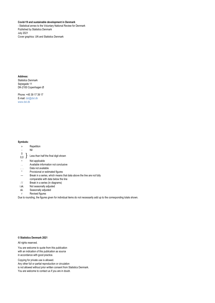#### **Covid-19 and sustainable development in Denmark**

- Statistical annex to the Voluntary National Review for Denmark Published by Statistics Denmark July 2021 Cover graphics: UN and Statistics Denmark

#### **Address:**

Statistics Denmark Sejrøgade 11 DK-2100 Copenhagen Ø

Phone: +45 39 17 39 17 E-mail: [dst@dst.dk](mailto:dst@dst.dk) [www.dst.dk](http://www.dst.dk/)

#### **Symbols:**

- » Repetition
- Nil
- $\begin{bmatrix} 0 \ 0,0 \end{bmatrix}$  Less than half the final digit shown
- Not applicable
- . . Available information not conclusive
- ... Data not available
- Provisional or estimated figures
- Break in a series, which means that data above the line are not fully comparable with data below the line
- 
- // Break in a series (in diagrams)<br>i.sk. Not seasonally adiusted Not seasonally adjusted
- sk. Seasonally adjusted
- r Revised figures

Due to rounding, the figures given for individual items do not necessarily add up to the corresponding totals shown.

#### **© Statistics Denmark 2021**

All rights reserved.

You are welcome to quote from this publication with an indication of this publication as source in accordance with good practice.

Copying for private use is allowed. Any other full or partial reproduction or circulation is not allowed without prior written consent from Statistics Denmark. You are welcome to contact us if you are in doubt.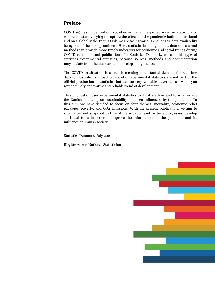## <span id="page-3-0"></span>**Preface**

COVID-19 has influenced our societies in many unexpected ways. As statisticians, we are constantly trying to capture the effects of the pandemic both on a national and on a global scale. In this task, we are facing various challenges, data availability being one of the most prominent. Here, statistics building on new data sources and methods can provide more timely indicators for economic and social trends during COVID-19 than usual publications. In Statistics Denmark, we call this type of statistics experimental statistics, because sources, methods and documentation may deviate from the standard and develop along the way.

The COVID-19 situation is currently creating a substantial demand for real-time data to illustrate its impact on society. Experimental statistics are not part of the official production of statistics but can be very valuable nevertheless, when you want a timely, innovative and reliable trend of development.

This publication uses experimental statistics to illustrate how and to what extent the Danish follow-up on sustainability has been influenced by the pandemic. To this aim, we have decided to focus on four themes: mortality, economic relief packages, poverty, and CO2 emissions. With the present publication, we aim to show a current snapshot picture of the situation and, as time progresses, develop statistical tools in order to improve the information on the pandemic and its influence on Danish society.

Statistics Denmark, July 2021

Birgitte Anker, National Statistician

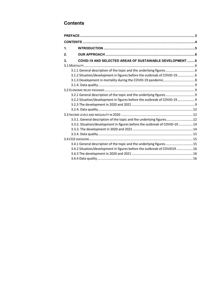## <span id="page-4-0"></span>**Contents**

| 1.                                                                        |  |  |  |  |  |
|---------------------------------------------------------------------------|--|--|--|--|--|
| 2.                                                                        |  |  |  |  |  |
| <b>COVID-19 AND SELECTED AREAS OF SUSTAINABLE DEVELOPMENT 6</b><br>3.     |  |  |  |  |  |
|                                                                           |  |  |  |  |  |
| 3.1.1 General description of the topic and the underlying figures         |  |  |  |  |  |
| 3.1.2 Situation/development in figures before the outbreak of COVID-19 6  |  |  |  |  |  |
|                                                                           |  |  |  |  |  |
|                                                                           |  |  |  |  |  |
|                                                                           |  |  |  |  |  |
| 3.2.1 General description of the topic and the underlying figures         |  |  |  |  |  |
| 3.2.2 Situation/development in figures before the outbreak of COVID-19 9  |  |  |  |  |  |
|                                                                           |  |  |  |  |  |
|                                                                           |  |  |  |  |  |
|                                                                           |  |  |  |  |  |
| 3.3.1. General description of the topic and the underlying figures 12     |  |  |  |  |  |
| 3.3.2. Situation/development in figures before the outbreak of COVID-1914 |  |  |  |  |  |
|                                                                           |  |  |  |  |  |
|                                                                           |  |  |  |  |  |
|                                                                           |  |  |  |  |  |
| 3.4.1 General description of the topic and the underlying figures 15      |  |  |  |  |  |
| 3.4.2 Situation/development in figures before the outbreak of COVID19  16 |  |  |  |  |  |
|                                                                           |  |  |  |  |  |
|                                                                           |  |  |  |  |  |
|                                                                           |  |  |  |  |  |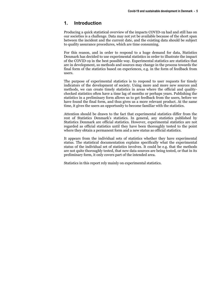#### <span id="page-5-0"></span>**1. Introduction**

Producing a quick statistical overview of the impacts COVID-19 had and still has on our societies is a challenge. Data may not yet be available because of the short span between the incident and the current date, and the existing data should be subject to quality assurance procedures, which are time consuming.

For this reason, and in order to respond to a huge demand for data, Statistics Denmark has decided to use experimental statistics in order to illustrate the impact of the COVID-19 in the best possible way. Experimental statistics are statistics that are in development, so methods and sources may change in the process towards the final form of the statistics based on experiences, e.g. in the form of feedback from users.

The purpose of experimental statistics is to respond to user requests for timely indicators of the development of society. Using more and more new sources and methods, we can create timely statistics in areas where the official and qualitychecked statistics often have a time lag of months or perhaps years. Publishing the statistics in a preliminary form allows us to get feedback from the users, before we have found the final form, and thus gives us a more relevant product. At the same time, it gives the users an opportunity to become familiar with the statistics.

Attention should be drawn to the fact that experimental statistics differ from the rest of Statistics Denmark's statistics. In general, any statistics published by Statistics Denmark are official statistics. However, experimental statistics are not regarded as official statistics until they have been thoroughly tested to the point where they obtain a permanent form and a new status as official statistics.

It appears from the individual sets of statistics whether they have experimental status. The statistical documentation explains specifically what the experimental status of the individual set of statistics involves. It could be e.g. that the methods are not quite thoroughly tested, that new data sources are being tested, or that in its preliminary form, it only covers part of the intended area.

Statistics in this report rely mainly on experimental statistics.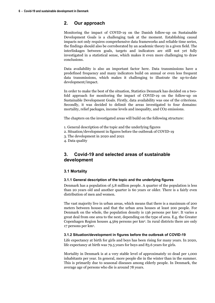#### <span id="page-6-0"></span>**2. Our approach**

Monitoring the impact of COVID-19 on the Danish follow-up on Sustainable Development Goals is a challenging task at the moment. Establishing causal impacts not only requires comprehensive data frameworks and reliable time series, the findings should also be corroborated by an academic theory in a given field. The interlinkages between goals, targets and indicators are still not yet fully investigated in a statistical sense, which makes it even more challenging to draw conclusions.

Data availability is also an important factor here. Data transmissions have a predefined frequency and many indicators build on annual or even less frequent data transmissions, which makes it challenging to illustrate the up-to-date development/impact.

In order to make the best of the situation, Statistics Denmark has decided on a twofold approach for monitoring the impact of COVID-19 on the follow-up on Sustainable Development Goals. Firstly, data availability was one of the criterions. Secondly, it was decided to delimit the areas investigated to four domains: mortality, relief packages, income levels and inequality, and CO2 emissions.

The chapters on the investigated areas will build on the following structure:

- 1. General description of the topic and the underlying figures
- 2. Situation/development in figures before the outbreak of COVID-19
- 3. The development in 2020 and 2021
- <span id="page-6-1"></span>4. Data quality

### **3. Covid-19 and selected areas of sustainable development**

#### <span id="page-6-2"></span>**3.1 Mortality**

#### <span id="page-6-3"></span>**3.1.1 General description of the topic and the underlying figures**

Denmark has a population of 5.8 million people. A quarter of the population is less than 20 years old and another quarter is 60 years or older. There is a fairly even distribution of men and women.

The vast majority live in urban areas, which means that there is a maximum of 200 meters between houses and that the urban area houses at least 200 people. For Denmark on the whole, the population density is 136 persons per km2. It varies a great deal from one area to the next, depending on the type of area. E.g. the Greater Copenhagen Region houses 4,569 persons per km2. In rural districts there are only 17 persons per km2.

#### <span id="page-6-4"></span>**3.1.2 Situation/development in figures before the outbreak of COVID-19**

Life expectancy at birth for girls and boys has been rising for many years. In 2020, life expectancy at birth was 79.5 years for boys and 83.6 years for girls.

Mortality in Denmark is at a very stable level of approximately 10 dead per 1,000 inhabitants per year. In general, more people die in the winter than in the summer. This is primarily due to seasonal diseases among elderly people. In Denmark, the average age of persons who die is around 78 years.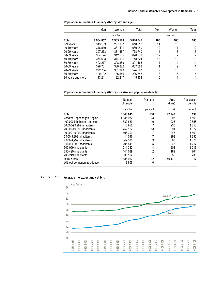#### **Population in Denmark 1 January 2021 by sex and age**

|                   | Men     | Women   | Total   | Men | Women    | Total |
|-------------------|---------|---------|---------|-----|----------|-------|
|                   |         | number  |         |     | per cent |       |
| <b>Total</b>      | 2904857 | 2935188 | 5840045 | 100 | 100      | 100   |
| 0-9 years         | 313 103 | 297 107 | 610 210 | 11  | 10       | 10    |
| 10-19 years       | 348 549 | 331 491 | 680 040 | 12  | 11       | 12    |
| $20-29$ years     | 397 273 | 381 467 | 778 740 | 14  | 13       | 13    |
| 30-39 years       | 354 174 | 342 505 | 696 679 | 12  | 12       | 12    |
| 40-49 years       | 374 633 | 374 191 | 748 824 | 13  | 13       | 13    |
| 50-59 years       | 402 277 | 398 889 | 801 166 | 14  | 14       | 14    |
| 60-69 years       | 328751  | 338 832 | 667 583 | 11  | 12       | 11    |
| 70-79 years       | 272 754 | 301 943 | 574 697 | 9   | 10       | 10    |
| 80-89 years       | 100 102 | 136 546 | 236 648 | 3   | 5        | 4     |
| 90 years and more | 13 241  | 32 217  | 45458   | 0   | 1        | 1     |

#### **Population in Denmark 1 January 2021 by city size and population density**

|                              | Number<br>of people | Per cent | Area<br>(km2)   | Population<br>density |
|------------------------------|---------------------|----------|-----------------|-----------------------|
|                              | number              | per cent | km <sub>2</sub> | per km2               |
| Total                        | 5840045             | 100      | 42 947          | 136                   |
| Greater Copenhagen Region    | 1 336 982           | 23       | 293             | 4569                  |
| 100,000 inhabitants and more | 582 889             | 10       | 228             | 2 5 5 8               |
| 50.000-99.999 inhabitants    | 416 956             | 7        | 230             | 1813                  |
| 20.000-49.999 inhabitants    | 752 167             | 13       | 391             | 1922                  |
| 10.000-19.999 inhabitants    | 406 303             | 7        | 245             | 1660                  |
| 5.000-9.999 inhabitants      | 414 596             | 7        | 298             | 1 3 9 0               |
| 2,000-4,999 inhabitants      | 547 335             | 9        | 398             | 1 3 7 4               |
| 1.000-1.999 inhabitants      | 295 541             | 5        | 243             | 1 2 1 7               |
| 500-999 inhabitants          | 211 332             | 4        | 208             | 1017                  |
| 250-499 inhabitants          | 144 089             | 2        | 189             | 764                   |
| 200-249 inhabitants          | 38 192              |          | 52              | 739                   |
| Rural areas                  | 685 057             | 12       | 40 172          | 17                    |
| Without permanent residence  | 8606                | 0        | ٠               |                       |

#### **Average life expectancy at birth** *Figure 3.1.1*

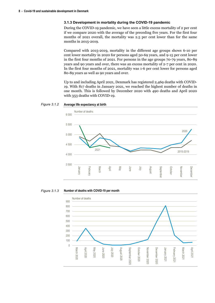#### **3.1.3 Development in mortality during the COVID-19 pandemic**

<span id="page-8-0"></span>During the COVID-19 pandemic, we have seen a little excess mortality of 2 per cent if we compare 2020 with the average of the preceding five years. For the first four months of 2021 overall, the mortality was 2.5 per cent lower than for the same months in 2015-2019.

Compared with 2015-2019, mortality in the different age groups shows 6-10 per cent lower mortality in 2020 for persons aged 50-69 years, and 9-15 per cent lower in the first four months of 2021. For persons in the age groups 70-79 years, 80-89 years and 90 years and over, there was an excess mortality of 2-7 per cent in 2020. In the first four months of 2021, mortality was 1-6 per cent lower for persons aged 80-89 years as well as 90 years and over.

Up to and including April 2021, Denmark has registered 2,469 deaths with COVID-19. With 817 deaths in January 2021, we reached the highest number of deaths in one month. This is followed by December 2020 with 490 deaths and April 2020 with 353 deaths with COVID-19.

#### **Average life expectancy at birth** *Figure 3.1.2*



**Number of deaths with COVID-19 per month** *Figure 3.1.3*

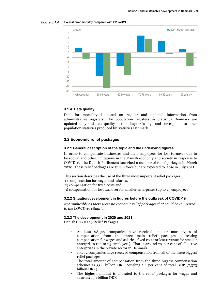



#### <span id="page-9-0"></span>**3.1.4. Data quality**

Data for mortality is based on regular and updated information from administrative registers. The population registers in Statistics Denmark are updated daily and data quality in this chapter is high and corresponds to other population statistics produced by Statistics Denmark.

#### <span id="page-9-1"></span>**3.2 Economic relief packages**

#### <span id="page-9-2"></span>**3.2.1 General description of the topic and the underlying figures**

In order to compensate businesses and their employees for lost turnover due to lockdown and other limitations in the Danish economy and society in response to COVID-19, the Danish Parliament launched a number of relief packages in March 2020. These relief packages are still in force but are expected to lapse in July 2021.

This section describes the use of the three most important relief packages:

- 1) compensation for wages and salaries,
- 2) compensation for fixed costs and
- <span id="page-9-3"></span>3) compensation for lost turnover for smaller enterprises (up to 25 employees).

#### **3.2.2 Situation/development in figures before the outbreak of COVID-19**

*Not applicable as there were no economic relief packages that could be compared to the COVID-19 situation.* 

#### <span id="page-9-4"></span>**3.2.3 The development in 2020 and 2021**

Danish COVID-19 Relief Packages

- At least 98,529 companies have received one or more types of compensation from the three main relief packages addressing compensation for wages and salaries, fixed costs or lost revenue for smaller enterprises (up to 25 employees). That is around 29 per cent of all active enterprises in the private sector in Denmark.
- 10,792 companies have received compensation from all of the three biggest relief packages.
- The total amount of compensation from the three biggest compensation schemes is 33.6 billion DKK equaling 1.4 per cent of total GDP (2,323 billion DKK)
- The highest amount is allocated to the relief packages for wages and salaries; 15.1 billion DKK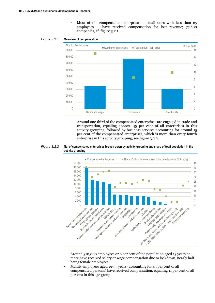- Most of the compensated enterprises – small ones with less than 25 employees — have received compensation for lost revenue; 77,600 companies, cf. figure 3.2.1.

**Overview of compensation** *Figure 3.2.1*



- Around one third of the compensated enterprises are engaged in trade and transportation, equaling approx. 45 per cent of all enterprises in this activity grouping, followed by business services accounting for around 15 per cent of the compensated enterprises, which is more than every fourth enterprise in this activity grouping, see figure 3.2.2.





- Around 310,000 employees or 6 per cent of the population aged 13 years or more have received salary or wage compensation due to lockdown, nearly half being female employees.
- Mainly employees aged 19-35 years (accounting for 45 per cent of all compensated persons) have received compensation, equaling 11 per cent of all persons in this age group.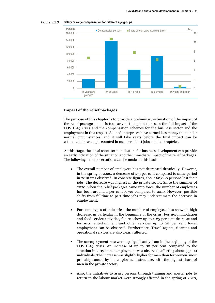



#### **Impact of the relief packages**

The purpose of this chapter is to provide a preliminary estimation of the impact of the relief packages, as it is too early at this point to assess the full impact of the COVID-19 crisis and the compensation schemes for the business sector and the employment in this respect. A lot of enterprises have earned less money than under normal circumstances, and it will take years before the final impact can be estimated, for example counted in number of lost jobs and bankruptcies.

At this stage, the usual short-term indicators for business development can provide an early indication of the situation and the immediate impact of the relief packages. The following main observations can be made on this basis:

- The overall number of employees has not decreased drastically. However, in the spring of 2020, a decrease of 2-3 per cent compared to same period in 2019 was observed. In concrete figures, about 60,000 persons lost their jobs. The decrease was highest in the private sector. Since the summer of 2020, when the relief packages came into force, the number of employees has been around 1 per cent lower compared to 2019. However, possible shifts from fulltime to part-time jobs may underestimate the decrease in employment.
- For some types of industries, the number of employees has shown a high decrease, in particular in the beginning of the crisis. For Accommodation and food service activities, figures show up to a 25 per cent decrease and for Arts, entertainment and other services up to 20 per cent lower employment can be observed. Furthermore, Travel agents, cleaning and operational services are also clearly affected.
- The unemployment rate went up significantly from in the beginning of the COVID-19 crisis. An increase of up to 80 per cent compared to the situation in 2019 in net employment was observed, affecting about 55,000 individuals. The increase was slightly higher for men than for women, most probably caused by the employment structure, with the highest share of men in the private sector.
- Also, the initiatives to assist persons through training and special jobs to return to the labour market were strongly affected in the spring of 2020,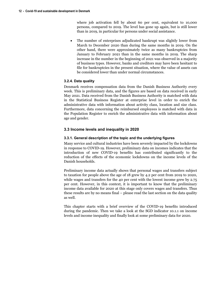where job activation fell by about 60 per cent, equivalent to 10,000 persons, compared to 2019. The level has gone up again, but is still lower than in 2019, in particular for persons under social assistance.

The number of enterprises adjudicated bankrupt was slightly lower from March to December 2020 than during the same months in 2019. On the other hand, there were approximately twice as many bankruptcies from January to February 2021 than in the same months in 2019. The sharp increase in the number in the beginning of 2021 was observed in a majority of business types. However, banks and creditors may have been hesitant to file for bankruptcies in the present situation, where the value of assets can be considered lower than under normal circumstances.

#### **3.2.4. Data quality**

<span id="page-12-0"></span>Denmark receives compensation data from the Danish Business Authority every week. This is preliminary data, and the figures are based on data received in early May 2021. Data received from the Danish Business Authority is matched with data in the Statistical Business Register at enterprise level in order to enrich the administrative data with information about activity class, location and size class. Furthermore, data concerning the reimbursed employees is matched with data in the Population Register to enrich the administrative data with information about age and gender.

#### <span id="page-12-1"></span>**3.3 Income levels and inequality in 2020**

#### **3.3.1. General description of the topic and the underlying figures**

<span id="page-12-2"></span>Many service and cultural industries have been severely impacted by the lockdowns in response to COVID-19. However, preliminary data on incomes indicates that the introduction of new COVID-19 benefits has contributed significantly to the reduction of the effects of the economic lockdowns on the income levels of the Danish households.

Preliminary income data actually shows that personal wages and transfers subject to taxation for people above the age of 18 grew by 4.2 per cent from 2019 to 2020, while wages and transfers for the 40 per cent with the lowest income grew by 2.75 per cent. However, in this context, it is important to know that the preliminary income data available for 2020 at this stage only covers wages and transfers. Thus these results are by no means final – please read the last section on the data quality as well.

This chapter starts with a brief overview of the COVID-19 benefits introduced during the pandemic. Then we take a look at the SGD indicator 10.1.1 on income levels and income inequality and finally look at some preliminary data for 2020.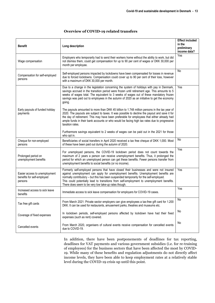| <b>Benefit</b>                                                         | Long description                                                                                                                                                                                                                                                                                                                                                                                                            | <b>Effect included</b><br>in the<br>preliminary<br>income data? |
|------------------------------------------------------------------------|-----------------------------------------------------------------------------------------------------------------------------------------------------------------------------------------------------------------------------------------------------------------------------------------------------------------------------------------------------------------------------------------------------------------------------|-----------------------------------------------------------------|
| Wage compensation                                                      | Employers who temporarily had to send their workers home without the ability to work, but did<br>not dismiss them, could get compensation for up to 90 per cent of wages or DKK 30,000 per<br>month per employee.                                                                                                                                                                                                           | Yes                                                             |
| Compensation for self-employed<br>persons                              | Self-employed persons impacted by lockdowns have been compensated for losses in revenue<br>due to forced lockdowns. Compensation could cover up to 90 per cent of their loss, however<br>with a maximum of DKK 30,000 per month.                                                                                                                                                                                            | No                                                              |
|                                                                        | Due to a change in the legislation concerning the system of holidays with pay in Denmark,<br>savings accrued in the transition period were frozen until retirement age. This amounts to 5<br>weeks of wages total. The equivalent to 3 weeks of wages out of these mandatory frozen<br>savings was paid out to employees in the autumn of 2020 as an initiative to get the economy<br>going.                                | Yes                                                             |
| Early payouts of funded holiday<br>payments                            | The payouts amounted to more than DKK 45 billion to 1.748 million persons in the tax year of<br>2020. The payouts are subject to taxes. It was possible to decline the payout and save it for<br>the day of retirement. This may have been preferable for employees that either already had<br>ample funds in their bank accounts or who would be facing high tax rates due to progressive<br>taxation rates.               |                                                                 |
|                                                                        | Furthermore savings equivalent to 2 weeks of wages can be paid out in the 2021 for those<br>who opt in.                                                                                                                                                                                                                                                                                                                     |                                                                 |
| Cheque for non-employed<br>persons                                     | Beneficiaries of social transfers in April 2020 received a tax free cheque of DKK 1,000. Most<br>of these have been paid out during the autumn of 2020.                                                                                                                                                                                                                                                                     | No                                                              |
| Prolonged period on<br>unemployment benefits                           | For unemployed persons, the COVID-19 lockdown period does not count towards the<br>maximum of 2 years a person can receive unemployment benefits. Thus, it prolonged the<br>period for which an unemployed person can get these benefits. Fewer persons transfer from<br>unemployment benefits to social benefits (or no income).                                                                                           | Yes                                                             |
| Easier access to unemployment<br>benefits for self-employed<br>persons | Formerly self-employed persons that have closed their businesses and were not insured<br>against unemployment can apply for unemployment benefits. Unemployment benefits are<br>normally contributory - but this has been suspended temporarily for the self-employed.<br>This could potentially lead to transitions from self-employment to unemployment benefits.<br>There does seem to be very low take-up rates though. | Yes                                                             |
| Increased access to sick leave<br>benefits                             | Immediate access to sick leave compensation for employers for COVID-19 cases.                                                                                                                                                                                                                                                                                                                                               | Yes                                                             |
| Tax free gift cards                                                    | From March 2021: Private sector employers can give employees a tax-free gift card for 1.200<br>DKK. It can be used for restaurants, amusement parks, theatres and museums etc.                                                                                                                                                                                                                                              | No                                                              |
| Coverage of fixed expenses                                             | In lockdown periods, self-employed persons affected by lockdown have had their fixed<br>expenses (such as rent) covered.                                                                                                                                                                                                                                                                                                    | No                                                              |
| Cancelled events                                                       | From March 2020, organisers of cultural events receive compensation for cancelled events<br>due to COVID-19.                                                                                                                                                                                                                                                                                                                | No                                                              |

#### **Overview of COVID-19 related transfers**

In addition, there have been postponements of deadlines for tax reporting, deadlines for VAT payments and various government subsidies (i.e. for re-training of employees) for the business sectors that have been affected the most by COVID-19. While many of these benefits and regulation adjustments do not directly affect income levels, they have been able to keep employment rates at a relatively stable level during the COVID-19 crisis up until this point.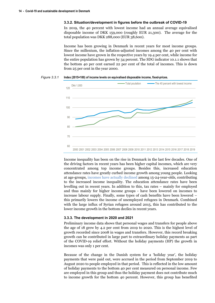#### <span id="page-14-0"></span>**3.3.2. Situation/development in figures before the outbreak of COVID-19**

In 2019, the 40 percent with lowest income had an annual average equivalised disposable income of DKK 159,000 (roughly EUR 21,300). The average for the total population was DKK 288,000 (EUR 38,600).

Income has been growing in Denmark in recent years for most income groups. Since the millenium, the inflation-adjusted incomes among the 40 per cent with lowest income have grown in the respective years by 19.4 per cent, while income for the entire population has grown by 34 percent. The SDG indicator 10.1.1 shows that the bottom 40 per cent earned 22 per cent of the total of incomes. This is down from 25 per cent in the year 2000.

**Index (2015=100) of income levels on equivalised disposable income, fixed-prices.** *Figure 3.3.1*



Income inequality has been on the rise in Denmark in the last few decades. One of the driving factors in recent years has been higher capital incomes, which are very concentrated among top income groups. Besides this, increased education attendance rates have greatly curbed income growth among young people. Looking at age-groups, [incomes have actually declined](https://www.dst.dk/da/Statistik/bagtal/2020/2020-15-09-indkomsterne-vokser-men-ikke-for-de-unge) among 15-24-year-olds, contributing to the increased income inequality. The education attendance rates have been levelling out in recent years. In addition to this, tax rates – mainly for employed and thus mainly for higher income groups - have been lowered on incomes to increase labour supply. Finally, some types of cash benefits have been lowered – this primarily lowers the income of unemployed refugees in Denmark. Combined with the large influx of Syrian refugees around 2015, this has contributed to the lower income growth in the bottom deciles in recent years.

#### <span id="page-14-1"></span>**3.3.3. The development in 2020 and 2021**

Preliminary income data shows that personal wages and transfers for people above the age of 18 grew by 4.2 per cent from 2019 to 2020. This is the highest level of growth recorded since 2008 in wages and transfers. However, this record breaking growth can be contributed in large part to extraordinary holiday payments as part of the COVID-19 relief effort. Without the holiday payments (HP) the growth in incomes was only 1 per cent.

Because of the change in the Danish system for a 'holiday year', the holiday payments that were paid out, were accrued in the period from September 2019 to August 2020 to people employed in that period. This is reflected in the low amount of holiday payments to the bottom 40 per cent measured on personal income. Few are employed in this group and thus the holiday payment does not contribute much to income growth for the bottom 40 percent. However, this group has benefited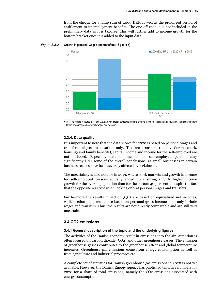from the cheque for a lump sum of 1,000 DKK as well as the prolonged period of entitlement to unemployment benefits. The one-off cheque is not included in the preliminary data as it is tax-free. This will further add to income growth for the bottom bracket once it is added to the input data.



#### **Growth in personal wages and transfers (18 years +)**  *Figure 3.3.2*



#### <span id="page-15-0"></span>**3.3.4. Data quality**

It is important to note that the data shown for 2020 is based on personal wages and transfers subject to taxation only. Tax-free transfers (mainly Corona-check, housing- and family benefits), capital income and income for the self-employed are not included. Especially data on income for self-employed persons may significantly alter some of the overall conclusions, as small businesses in certain business sectors have been severely affected by lockdowns.

The uncertainty is also notable in 2019, where stock markets and growth in income for self-employed persons actually ended up ensuring slightly higher income growth for the overall population than for the bottom 40 per cent – despite the fact that the opposite was true when looking only at personal wages and transfers.

Furthermore the results in section 3.3.2 are based on equivalised net incomes, while section 3.3.3 results are based on personal gross incomes and only include wages and transfers. Thus, the results are not directly comparable and are still very uncertain.

#### <span id="page-15-1"></span>**3.4 CO2 emissions**

#### <span id="page-15-2"></span>**3.4.1 General description of the topic and the underlying figures**

The activities of the Danish economy result in emissions into the air. Attention is often focused on carbon dioxide (CO2) and other greenhouse gasses. The emission of greenhouse gasses contributes to the greenhouse effect and global temperature increases. Greenhouse gas emissions come from energy consumption as well as from agriculture and industrial processes etc.

A complete set of statistics for Danish greenhouse gas emissions in 2020 is not yet available. However, the Danish Energy Agency has published tentative numbers for 2020 for a share of total emissions, namely the CO2 emissions associated with energy consumption.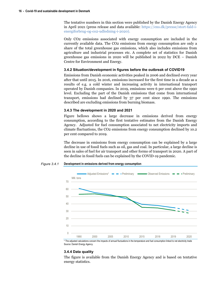The tentative numbers in this section were published by the Danish Energy Agency in April 2021 (press release and data available: https://ens.dk/presse/stort-fald-ienergiforbrug-og-co2-udledning-i-2020).

Only CO2 emissions associated with energy [consumption are included in the](https://ens.dk/presse/stort-fald-i-energiforbrug-og-co2-udledning-i-2020)  [currently available data. The CO2 emiss](https://ens.dk/presse/stort-fald-i-energiforbrug-og-co2-udledning-i-2020)ions from energy consumption are only a share of the total greenhouse gas emissions, which also includes emissions from agriculture and industrial processes etc. A complete set of statistics for Danish greenhouse gas emissions in 2020 will be published in 2022 by DCE – Danish Centre for Environment and Energy.

#### **3.4.2 Situation/development in figures before the outbreak of COVID19**

<span id="page-16-0"></span>Emissions from Danish economic activities peaked in 2006 and declined every year after that until 2015. In 2016, emissions increased for the first time in a decade as a results of e.g. a cold winter and increasing activity in international transport operated by Danish companies. In 2019, emissions were 6 per cent above the 1990 level. Excluding the part of the Danish emissions that come from international transport, emissions had declined by 37 per cent since 1990. The emissions described are excluding emissions from burning biomass.

#### **3.4.3 The development in 2020 and 2021**

<span id="page-16-1"></span>Figure bellows shows a large decrease in emissions derived from energy consumption, according to the first tentative estimates from the Danish Energy Agency. Adjusted for fuel consumption associated to net electricity imports and climate fluctuations, the CO2 emissions from energy consumption declined by 10.2 per cent compared to 2019.

The decrease in emissions from energy consumption can be explained by a large decline in use of fossil fuels such as oil, gas and coal. In particular, a large decline is seen in sales of fuel for air transport and other forms of transport in 2020. A part of the decline in fossil fuels can be explained by the COVID-19 pandemic.





\* The adjusted calculations concern the impacts of annual fluctuations in the temperature and fuel consumption linked to net electricity trade Source: Danish Energy Agency.

#### **3.4.4 Data quality**

<span id="page-16-2"></span>The figure is available from the Danish Energy Agency and is based on tentative energy statistics.